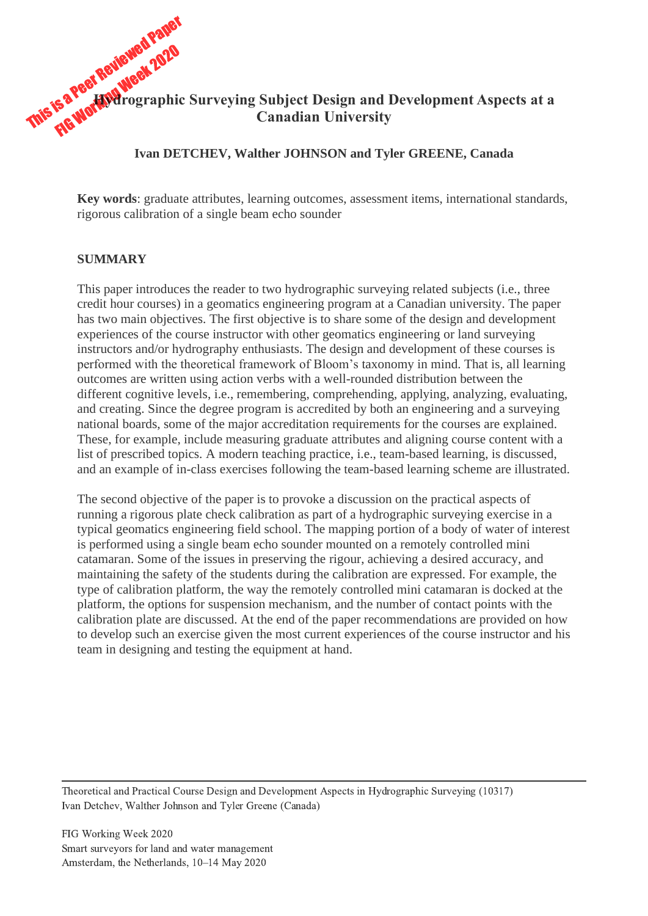# This is a Peer Reviewed Paper<br>This is a Peer Reviewed 2020 **Hydrographic Surveying Subject Design and Development Aspects at a Canadian University**

#### **Ivan DETCHEV, Walther JOHNSON and Tyler GREENE, Canada**

**Key words**: graduate attributes, learning outcomes, assessment items, international standards, rigorous calibration of a single beam echo sounder

#### **SUMMARY**

This paper introduces the reader to two hydrographic surveying related subjects (i.e., three credit hour courses) in a geomatics engineering program at a Canadian university. The paper has two main objectives. The first objective is to share some of the design and development experiences of the course instructor with other geomatics engineering or land surveying instructors and/or hydrography enthusiasts. The design and development of these courses is performed with the theoretical framework of Bloom's taxonomy in mind. That is, all learning outcomes are written using action verbs with a well-rounded distribution between the different cognitive levels, i.e., remembering, comprehending, applying, analyzing, evaluating, and creating. Since the degree program is accredited by both an engineering and a surveying national boards, some of the major accreditation requirements for the courses are explained. These, for example, include measuring graduate attributes and aligning course content with a list of prescribed topics. A modern teaching practice, i.e., team-based learning, is discussed, and an example of in-class exercises following the team-based learning scheme are illustrated.

The second objective of the paper is to provoke a discussion on the practical aspects of running a rigorous plate check calibration as part of a hydrographic surveying exercise in a typical geomatics engineering field school. The mapping portion of a body of water of interest is performed using a single beam echo sounder mounted on a remotely controlled mini catamaran. Some of the issues in preserving the rigour, achieving a desired accuracy, and maintaining the safety of the students during the calibration are expressed. For example, the type of calibration platform, the way the remotely controlled mini catamaran is docked at the platform, the options for suspension mechanism, and the number of contact points with the calibration plate are discussed. At the end of the paper recommendations are provided on how to develop such an exercise given the most current experiences of the course instructor and his team in designing and testing the equipment at hand.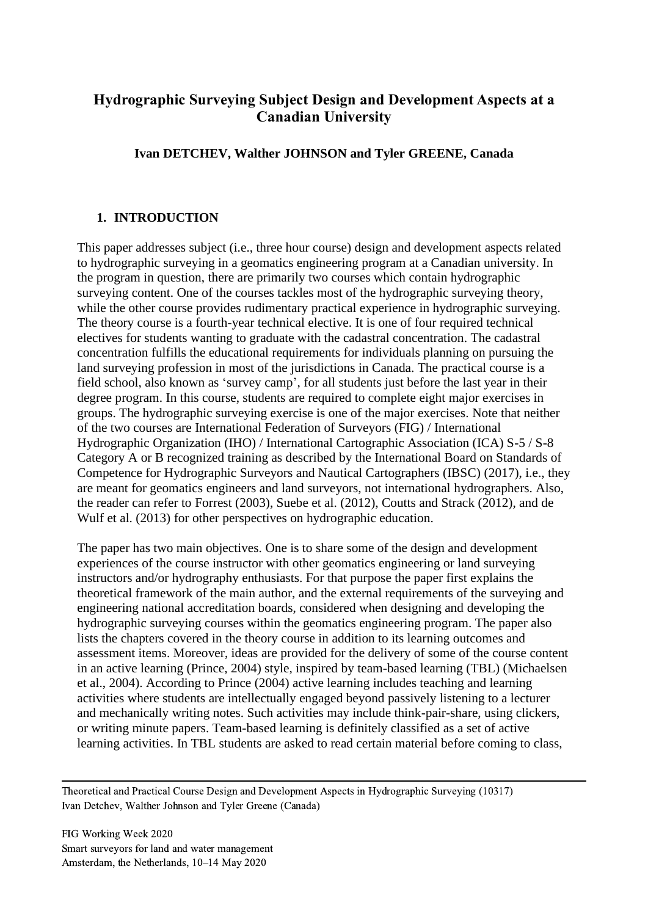# **Hydrographic Surveying Subject Design and Development Aspects at a Canadian University**

# **Ivan DETCHEV, Walther JOHNSON and Tyler GREENE, Canada**

# **1. INTRODUCTION**

This paper addresses subject (i.e., three hour course) design and development aspects related to hydrographic surveying in a geomatics engineering program at a Canadian university. In the program in question, there are primarily two courses which contain hydrographic surveying content. One of the courses tackles most of the hydrographic surveying theory, while the other course provides rudimentary practical experience in hydrographic surveying. The theory course is a fourth-year technical elective. It is one of four required technical electives for students wanting to graduate with the cadastral concentration. The cadastral concentration fulfills the educational requirements for individuals planning on pursuing the land surveying profession in most of the jurisdictions in Canada. The practical course is a field school, also known as 'survey camp', for all students just before the last year in their degree program. In this course, students are required to complete eight major exercises in groups. The hydrographic surveying exercise is one of the major exercises. Note that neither of the two courses are International Federation of Surveyors (FIG) / International Hydrographic Organization (IHO) / International Cartographic Association (ICA) S-5 / S-8 Category A or B recognized training as described by the International Board on Standards of Competence for Hydrographic Surveyors and Nautical Cartographers (IBSC) (2017), i.e., they are meant for geomatics engineers and land surveyors, not international hydrographers. Also, the reader can refer to Forrest (2003), Suebe et al. (2012), Coutts and Strack (2012), and de Wulf et al. (2013) for other perspectives on hydrographic education.

The paper has two main objectives. One is to share some of the design and development experiences of the course instructor with other geomatics engineering or land surveying instructors and/or hydrography enthusiasts. For that purpose the paper first explains the theoretical framework of the main author, and the external requirements of the surveying and engineering national accreditation boards, considered when designing and developing the hydrographic surveying courses within the geomatics engineering program. The paper also lists the chapters covered in the theory course in addition to its learning outcomes and assessment items. Moreover, ideas are provided for the delivery of some of the course content in an active learning (Prince, 2004) style, inspired by team-based learning (TBL) (Michaelsen et al., 2004). According to Prince (2004) active learning includes teaching and learning activities where students are intellectually engaged beyond passively listening to a lecturer and mechanically writing notes. Such activities may include think-pair-share, using clickers, or writing minute papers. Team-based learning is definitely classified as a set of active learning activities. In TBL students are asked to read certain material before coming to class,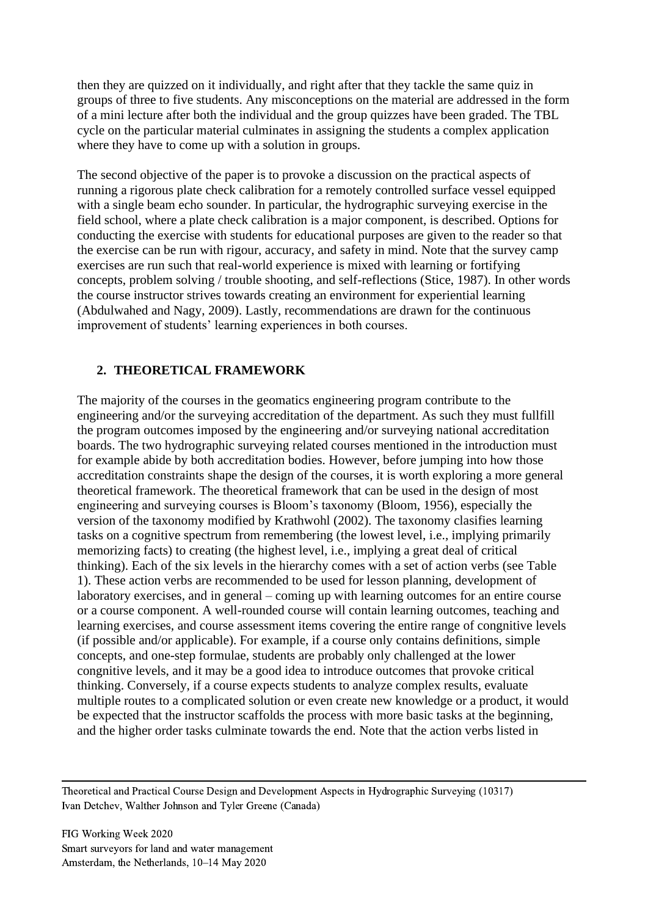then they are quizzed on it individually, and right after that they tackle the same quiz in groups of three to five students. Any misconceptions on the material are addressed in the form of a mini lecture after both the individual and the group quizzes have been graded. The TBL cycle on the particular material culminates in assigning the students a complex application where they have to come up with a solution in groups.

The second objective of the paper is to provoke a discussion on the practical aspects of running a rigorous plate check calibration for a remotely controlled surface vessel equipped with a single beam echo sounder. In particular, the hydrographic surveying exercise in the field school, where a plate check calibration is a major component, is described. Options for conducting the exercise with students for educational purposes are given to the reader so that the exercise can be run with rigour, accuracy, and safety in mind. Note that the survey camp exercises are run such that real-world experience is mixed with learning or fortifying concepts, problem solving / trouble shooting, and self-reflections (Stice, 1987). In other words the course instructor strives towards creating an environment for experiential learning (Abdulwahed and Nagy, 2009). Lastly, recommendations are drawn for the continuous improvement of students' learning experiences in both courses.

# **2. THEORETICAL FRAMEWORK**

The majority of the courses in the geomatics engineering program contribute to the engineering and/or the surveying accreditation of the department. As such they must fullfill the program outcomes imposed by the engineering and/or surveying national accreditation boards. The two hydrographic surveying related courses mentioned in the introduction must for example abide by both accreditation bodies. However, before jumping into how those accreditation constraints shape the design of the courses, it is worth exploring a more general theoretical framework. The theoretical framework that can be used in the design of most engineering and surveying courses is Bloom's taxonomy (Bloom, 1956), especially the version of the taxonomy modified by Krathwohl (2002). The taxonomy clasifies learning tasks on a cognitive spectrum from remembering (the lowest level, i.e., implying primarily memorizing facts) to creating (the highest level, i.e., implying a great deal of critical thinking). Each of the six levels in the hierarchy comes with a set of action verbs (see [Table](#page-3-0)  [1\)](#page-3-0). These action verbs are recommended to be used for lesson planning, development of laboratory exercises, and in general – coming up with learning outcomes for an entire course or a course component. A well-rounded course will contain learning outcomes, teaching and learning exercises, and course assessment items covering the entire range of congnitive levels (if possible and/or applicable). For example, if a course only contains definitions, simple concepts, and one-step formulae, students are probably only challenged at the lower congnitive levels, and it may be a good idea to introduce outcomes that provoke critical thinking. Conversely, if a course expects students to analyze complex results, evaluate multiple routes to a complicated solution or even create new knowledge or a product, it would be expected that the instructor scaffolds the process with more basic tasks at the beginning, and the higher order tasks culminate towards the end. Note that the action verbs listed in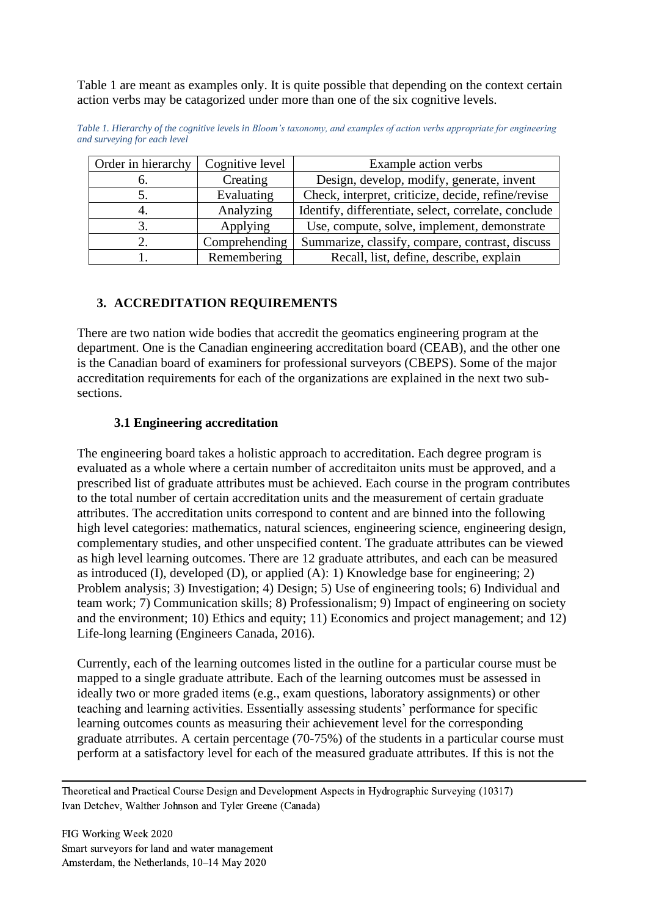[Table 1](#page-3-0) are meant as examples only. It is quite possible that depending on the context certain action verbs may be catagorized under more than one of the six cognitive levels.

| Order in hierarchy | Cognitive level | Example action verbs                                 |
|--------------------|-----------------|------------------------------------------------------|
| n.                 | Creating        | Design, develop, modify, generate, invent            |
|                    | Evaluating      | Check, interpret, criticize, decide, refine/revise   |
|                    | Analyzing       | Identify, differentiate, select, correlate, conclude |
|                    | Applying        | Use, compute, solve, implement, demonstrate          |
|                    | Comprehending   | Summarize, classify, compare, contrast, discuss      |
|                    | Remembering     | Recall, list, define, describe, explain              |

<span id="page-3-0"></span>*Table 1. Hierarchy of the cognitive levels in Bloom's taxonomy, and examples of action verbs appropriate for engineering and surveying for each level*

# **3. ACCREDITATION REQUIREMENTS**

There are two nation wide bodies that accredit the geomatics engineering program at the department. One is the Canadian engineering accreditation board (CEAB), and the other one is the Canadian board of examiners for professional surveyors (CBEPS). Some of the major accreditation requirements for each of the organizations are explained in the next two subsections.

## **3.1 Engineering accreditation**

The engineering board takes a holistic approach to accreditation. Each degree program is evaluated as a whole where a certain number of accreditaiton units must be approved, and a prescribed list of graduate attributes must be achieved. Each course in the program contributes to the total number of certain accreditation units and the measurement of certain graduate attributes. The accreditation units correspond to content and are binned into the following high level categories: mathematics, natural sciences, engineering science, engineering design, complementary studies, and other unspecified content. The graduate attributes can be viewed as high level learning outcomes. There are 12 graduate attributes, and each can be measured as introduced (I), developed (D), or applied (A): 1) Knowledge base for engineering; 2) Problem analysis; 3) Investigation; 4) Design; 5) Use of engineering tools; 6) Individual and team work; 7) Communication skills; 8) Professionalism; 9) Impact of engineering on society and the environment; 10) Ethics and equity; 11) Economics and project management; and 12) Life-long learning (Engineers Canada, 2016).

Currently, each of the learning outcomes listed in the outline for a particular course must be mapped to a single graduate attribute. Each of the learning outcomes must be assessed in ideally two or more graded items (e.g., exam questions, laboratory assignments) or other teaching and learning activities. Essentially assessing students' performance for specific learning outcomes counts as measuring their achievement level for the corresponding graduate atrributes. A certain percentage (70-75%) of the students in a particular course must perform at a satisfactory level for each of the measured graduate attributes. If this is not the

Theoretical and Practical Course Design and Development Aspects in Hydrographic Surveying (10317) Ivan Detchev, Walther Johnson and Tyler Greene (Canada)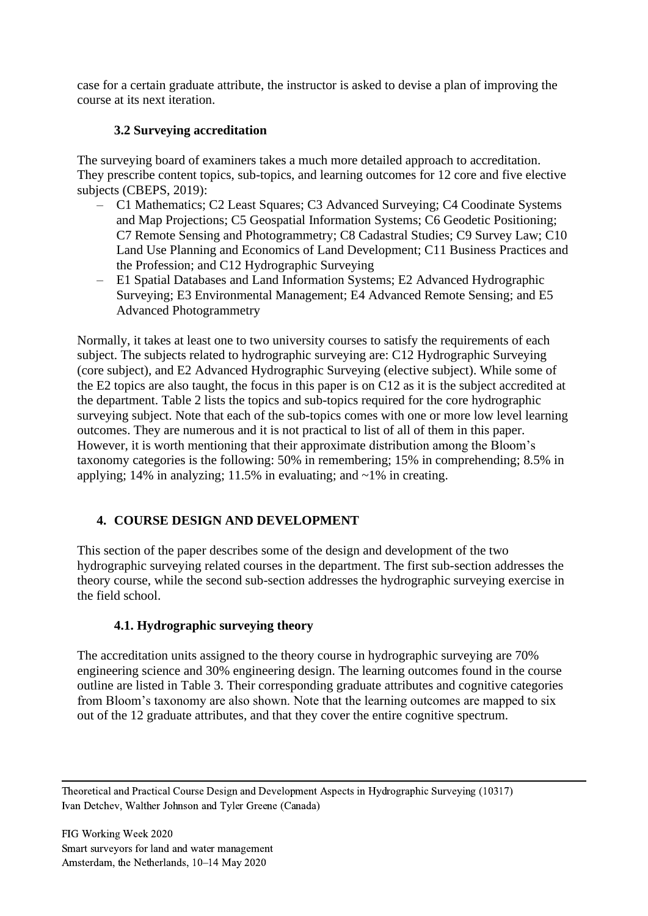case for a certain graduate attribute, the instructor is asked to devise a plan of improving the course at its next iteration.

# **3.2 Surveying accreditation**

The surveying board of examiners takes a much more detailed approach to accreditation. They prescribe content topics, sub-topics, and learning outcomes for 12 core and five elective subjects (CBEPS, 2019):

- C1 Mathematics; C2 Least Squares; C3 Advanced Surveying; C4 Coodinate Systems and Map Projections; C5 Geospatial Information Systems; C6 Geodetic Positioning; C7 Remote Sensing and Photogrammetry; C8 Cadastral Studies; C9 Survey Law; C10 Land Use Planning and Economics of Land Development; C11 Business Practices and the Profession; and C12 Hydrographic Surveying
- E1 Spatial Databases and Land Information Systems; E2 Advanced Hydrographic Surveying; E3 Environmental Management; E4 Advanced Remote Sensing; and E5 Advanced Photogrammetry

Normally, it takes at least one to two university courses to satisfy the requirements of each subject. The subjects related to hydrographic surveying are: C12 Hydrographic Surveying (core subject), and E2 Advanced Hydrographic Surveying (elective subject). While some of the E2 topics are also taught, the focus in this paper is on C12 as it is the subject accredited at the department. [Table 2](#page-5-0) lists the topics and sub-topics required for the core hydrographic surveying subject. Note that each of the sub-topics comes with one or more low level learning outcomes. They are numerous and it is not practical to list of all of them in this paper. However, it is worth mentioning that their approximate distribution among the Bloom's taxonomy categories is the following: 50% in remembering; 15% in comprehending; 8.5% in applying; 14% in analyzing; 11.5% in evaluating; and  $\sim$ 1% in creating.

# **4. COURSE DESIGN AND DEVELOPMENT**

This section of the paper describes some of the design and development of the two hydrographic surveying related courses in the department. The first sub-section addresses the theory course, while the second sub-section addresses the hydrographic surveying exercise in the field school.

# **4.1. Hydrographic surveying theory**

The accreditation units assigned to the theory course in hydrographic surveying are 70% engineering science and 30% engineering design. The learning outcomes found in the course outline are listed in [Table 3.](#page-6-0) Their corresponding graduate attributes and cognitive categories from Bloom's taxonomy are also shown. Note that the learning outcomes are mapped to six out of the 12 graduate attributes, and that they cover the entire cognitive spectrum.

Theoretical and Practical Course Design and Development Aspects in Hydrographic Surveying (10317) Ivan Detchev, Walther Johnson and Tyler Greene (Canada)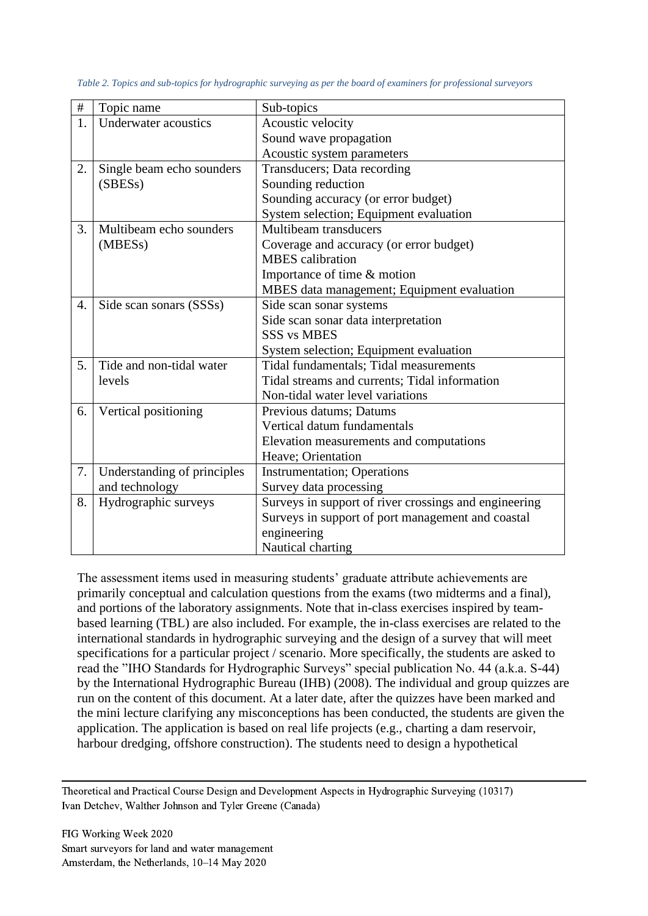| $\#$ | Topic name                  | Sub-topics                                            |
|------|-----------------------------|-------------------------------------------------------|
| 1.   | Underwater acoustics        | Acoustic velocity                                     |
|      |                             | Sound wave propagation                                |
|      |                             | Acoustic system parameters                            |
| 2.   | Single beam echo sounders   | Transducers; Data recording                           |
|      | (SBESs)                     | Sounding reduction                                    |
|      |                             | Sounding accuracy (or error budget)                   |
|      |                             | System selection; Equipment evaluation                |
| 3.   | Multibeam echo sounders     | Multibeam transducers                                 |
|      | (MBESs)                     | Coverage and accuracy (or error budget)               |
|      |                             | <b>MBES</b> calibration                               |
|      |                             | Importance of time & motion                           |
|      |                             | MBES data management; Equipment evaluation            |
| 4.   | Side scan sonars (SSSs)     | Side scan sonar systems                               |
|      |                             | Side scan sonar data interpretation                   |
|      |                             | <b>SSS vs MBES</b>                                    |
|      |                             | System selection; Equipment evaluation                |
| 5.   | Tide and non-tidal water    | Tidal fundamentals; Tidal measurements                |
|      | levels                      | Tidal streams and currents; Tidal information         |
|      |                             | Non-tidal water level variations                      |
| 6.   | Vertical positioning        | Previous datums; Datums                               |
|      |                             | Vertical datum fundamentals                           |
|      |                             | Elevation measurements and computations               |
|      |                             | Heave; Orientation                                    |
| 7.   | Understanding of principles | <b>Instrumentation</b> ; Operations                   |
|      | and technology              | Survey data processing                                |
| 8.   | Hydrographic surveys        | Surveys in support of river crossings and engineering |
|      |                             | Surveys in support of port management and coastal     |
|      |                             | engineering                                           |
|      |                             | Nautical charting                                     |

<span id="page-5-0"></span>*Table 2. Topics and sub-topics for hydrographic surveying as per the board of examiners for professional surveyors*

The assessment items used in measuring students' graduate attribute achievements are primarily conceptual and calculation questions from the exams (two midterms and a final), and portions of the laboratory assignments. Note that in-class exercises inspired by teambased learning (TBL) are also included. For example, the in-class exercises are related to the international standards in hydrographic surveying and the design of a survey that will meet specifications for a particular project / scenario. More specifically, the students are asked to read the "IHO Standards for Hydrographic Surveys" special publication No. 44 (a.k.a. S-44) by the International Hydrographic Bureau (IHB) (2008). The individual and group quizzes are run on the content of this document. At a later date, after the quizzes have been marked and the mini lecture clarifying any misconceptions has been conducted, the students are given the application. The application is based on real life projects (e.g., charting a dam reservoir, harbour dredging, offshore construction). The students need to design a hypothetical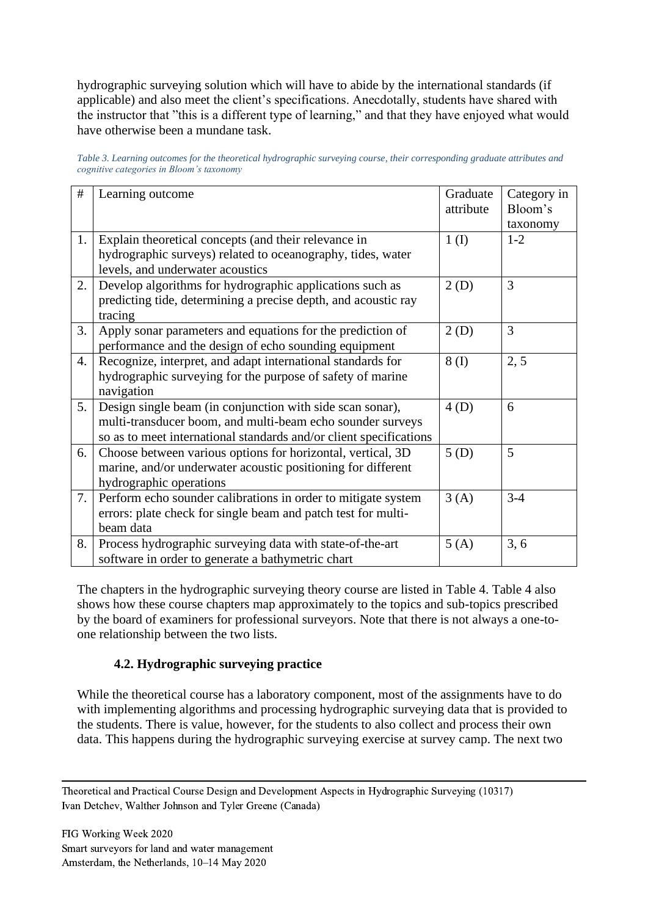hydrographic surveying solution which will have to abide by the international standards (if applicable) and also meet the client's specifications. Anecdotally, students have shared with the instructor that "this is a different type of learning," and that they have enjoyed what would have otherwise been a mundane task.

<span id="page-6-0"></span>

| Table 3. Learning outcomes for the theoretical hydrographic surveying course, their corresponding graduate attributes and |  |
|---------------------------------------------------------------------------------------------------------------------------|--|
| cognitive categories in Bloom's taxonomy                                                                                  |  |

| #  | Learning outcome                                                   | Graduate  | Category in |
|----|--------------------------------------------------------------------|-----------|-------------|
|    |                                                                    | attribute | Bloom's     |
|    |                                                                    |           | taxonomy    |
| 1. | Explain theoretical concepts (and their relevance in               | 1(I)      | $1 - 2$     |
|    | hydrographic surveys) related to oceanography, tides, water        |           |             |
|    | levels, and underwater acoustics                                   |           |             |
| 2. | Develop algorithms for hydrographic applications such as           | 2(D)      | 3           |
|    | predicting tide, determining a precise depth, and acoustic ray     |           |             |
|    | tracing                                                            |           |             |
| 3. | Apply sonar parameters and equations for the prediction of         | 2(D)      | 3           |
|    | performance and the design of echo sounding equipment              |           |             |
| 4. | Recognize, interpret, and adapt international standards for        | 8(I)      | 2, 5        |
|    | hydrographic surveying for the purpose of safety of marine         |           |             |
|    | navigation                                                         |           |             |
| 5. | Design single beam (in conjunction with side scan sonar),          | 4(D)      | 6           |
|    | multi-transducer boom, and multi-beam echo sounder surveys         |           |             |
|    | so as to meet international standards and/or client specifications |           |             |
| 6. | Choose between various options for horizontal, vertical, 3D        | 5(D)      | 5           |
|    | marine, and/or underwater acoustic positioning for different       |           |             |
|    | hydrographic operations                                            |           |             |
| 7. | Perform echo sounder calibrations in order to mitigate system      | 3(A)      | $3 - 4$     |
|    | errors: plate check for single beam and patch test for multi-      |           |             |
|    | beam data                                                          |           |             |
| 8. | Process hydrographic surveying data with state-of-the-art          | 5(A)      | 3, 6        |
|    | software in order to generate a bathymetric chart                  |           |             |

The chapters in the hydrographic surveying theory course are listed in [Table 4. Table 4](#page-7-0) also shows how these course chapters map approximately to the topics and sub-topics prescribed by the board of examiners for professional surveyors. Note that there is not always a one-toone relationship between the two lists.

# **4.2. Hydrographic surveying practice**

While the theoretical course has a laboratory component, most of the assignments have to do with implementing algorithms and processing hydrographic surveying data that is provided to the students. There is value, however, for the students to also collect and process their own data. This happens during the hydrographic surveying exercise at survey camp. The next two

Theoretical and Practical Course Design and Development Aspects in Hydrographic Surveying (10317) Ivan Detchev, Walther Johnson and Tyler Greene (Canada)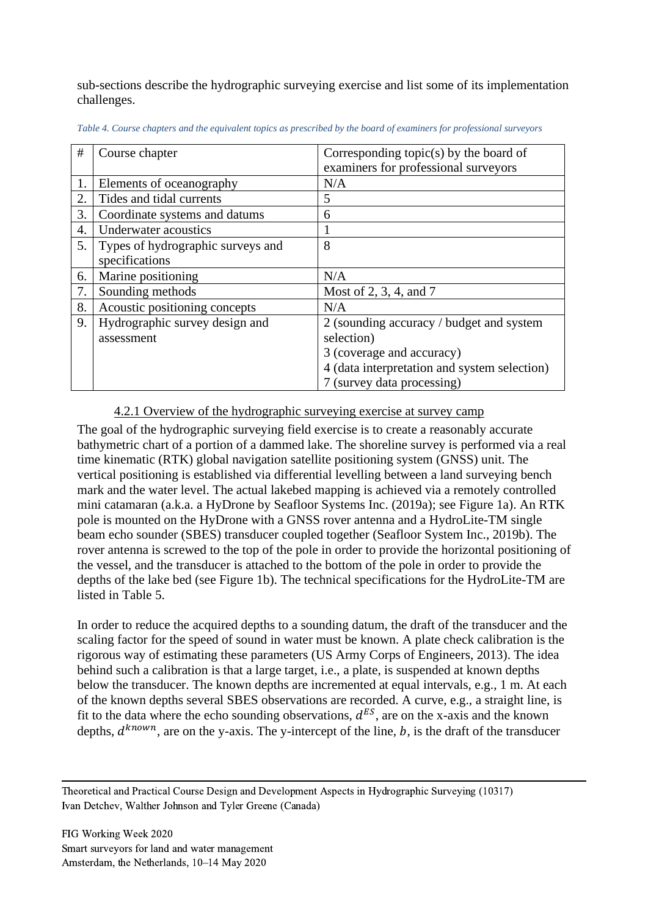sub-sections describe the hydrographic surveying exercise and list some of its implementation challenges.

| $\#$ | Course chapter                    | Corresponding topic(s) by the board of       |
|------|-----------------------------------|----------------------------------------------|
|      |                                   | examiners for professional surveyors         |
| 1.   | Elements of oceanography          | N/A                                          |
| 2.   | Tides and tidal currents          | 5                                            |
| 3.   | Coordinate systems and datums     | 6                                            |
| 4.   | <b>Underwater acoustics</b>       | 1                                            |
| 5.   | Types of hydrographic surveys and | 8                                            |
|      | specifications                    |                                              |
| 6.   | Marine positioning                | N/A                                          |
| 7.   | Sounding methods                  | Most of 2, 3, 4, and 7                       |
| 8.   | Acoustic positioning concepts     | N/A                                          |
| 9.   | Hydrographic survey design and    | 2 (sounding accuracy / budget and system     |
|      | assessment                        | selection)                                   |
|      |                                   | 3 (coverage and accuracy)                    |
|      |                                   | 4 (data interpretation and system selection) |
|      |                                   | 7 (survey data processing)                   |

<span id="page-7-0"></span>*Table 4. Course chapters and the equivalent topics as prescribed by the board of examiners for professional surveyors*

#### 4.2.1 Overview of the hydrographic surveying exercise at survey camp

The goal of the hydrographic surveying field exercise is to create a reasonably accurate bathymetric chart of a portion of a dammed lake. The shoreline survey is performed via a real time kinematic (RTK) global navigation satellite positioning system (GNSS) unit. The vertical positioning is established via differential levelling between a land surveying bench mark and the water level. The actual lakebed mapping is achieved via a remotely controlled mini catamaran (a.k.a. a HyDrone by Seafloor Systems Inc. (2019a); see [Figure 1a](#page-8-0)). An RTK pole is mounted on the HyDrone with a GNSS rover antenna and a HydroLite-TM single beam echo sounder (SBES) transducer coupled together (Seafloor System Inc., 2019b). The rover antenna is screwed to the top of the pole in order to provide the horizontal positioning of the vessel, and the transducer is attached to the bottom of the pole in order to provide the depths of the lake bed (see [Figure 1b](#page-8-0)). The technical specifications for the HydroLite-TM are listed in [Table 5.](#page-8-1)

In order to reduce the acquired depths to a sounding datum, the draft of the transducer and the scaling factor for the speed of sound in water must be known. A plate check calibration is the rigorous way of estimating these parameters (US Army Corps of Engineers, 2013). The idea behind such a calibration is that a large target, i.e., a plate, is suspended at known depths below the transducer. The known depths are incremented at equal intervals, e.g., 1 m. At each of the known depths several SBES observations are recorded. A curve, e.g., a straight line, is fit to the data where the echo sounding observations,  $d^{ES}$ , are on the x-axis and the known depths,  $d^{known}$ , are on the y-axis. The y-intercept of the line, b, is the draft of the transducer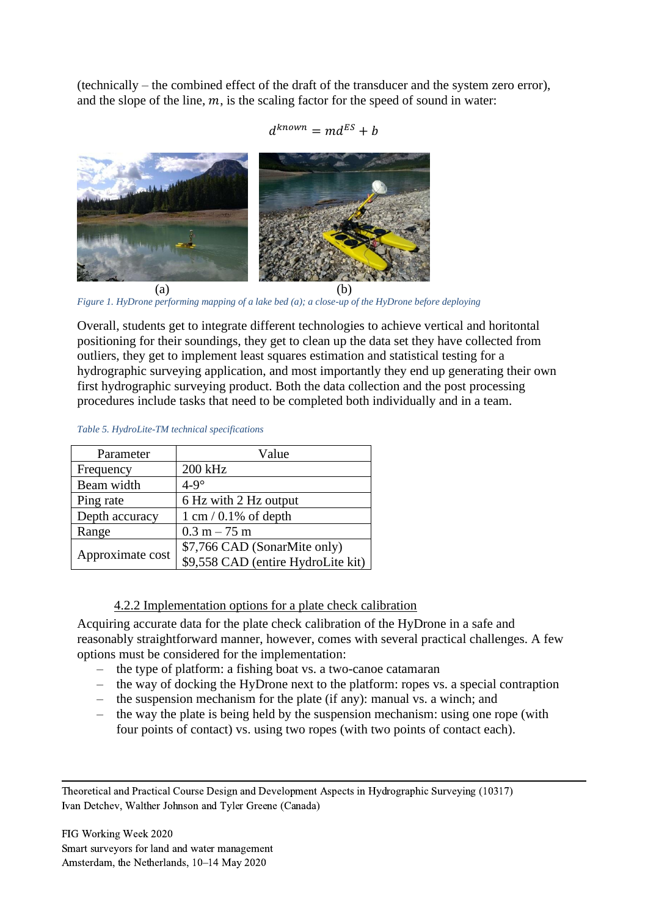(technically – the combined effect of the draft of the transducer and the system zero error), and the slope of the line,  $m$ , is the scaling factor for the speed of sound in water:

$$
d^{known} = md^{ES} + b
$$



*Figure 1. HyDrone performing mapping of a lake bed (a); a close-up of the HyDrone before deploying*

<span id="page-8-0"></span>Overall, students get to integrate different technologies to achieve vertical and horitontal positioning for their soundings, they get to clean up the data set they have collected from outliers, they get to implement least squares estimation and statistical testing for a hydrographic surveying application, and most importantly they end up generating their own first hydrographic surveying product. Both the data collection and the post processing procedures include tasks that need to be completed both individually and in a team.

| Parameter        | Value                              |
|------------------|------------------------------------|
| Frequency        | 200 kHz                            |
| Beam width       | $4-9^\circ$                        |
| Ping rate        | 6 Hz with 2 Hz output              |
| Depth accuracy   | $1 \text{ cm} / 0.1\%$ of depth    |
| Range            | $0.3 m - 75 m$                     |
| Approximate cost | \$7,766 CAD (SonarMite only)       |
|                  | \$9,558 CAD (entire HydroLite kit) |

#### <span id="page-8-1"></span>*Table 5. HydroLite-TM technical specifications*

## 4.2.2 Implementation options for a plate check calibration

Acquiring accurate data for the plate check calibration of the HyDrone in a safe and reasonably straightforward manner, however, comes with several practical challenges. A few options must be considered for the implementation:

- the type of platform: a fishing boat vs. a two-canoe catamaran
- the way of docking the HyDrone next to the platform: ropes vs. a special contraption
- the suspension mechanism for the plate (if any): manual vs. a winch; and
- the way the plate is being held by the suspension mechanism: using one rope (with four points of contact) vs. using two ropes (with two points of contact each).

Theoretical and Practical Course Design and Development Aspects in Hydrographic Surveying (10317) Ivan Detchev, Walther Johnson and Tyler Greene (Canada)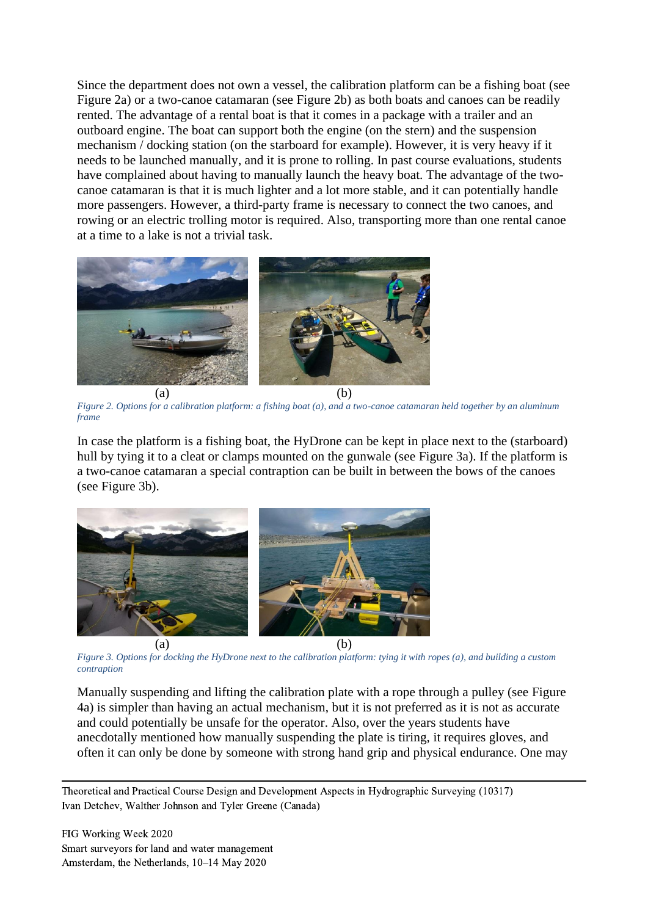Since the department does not own a vessel, the calibration platform can be a fishing boat (see [Figure 2a](#page-9-0)) or a two-canoe catamaran (see [Figure 2b](#page-9-0)) as both boats and canoes can be readily rented. The advantage of a rental boat is that it comes in a package with a trailer and an outboard engine. The boat can support both the engine (on the stern) and the suspension mechanism / docking station (on the starboard for example). However, it is very heavy if it needs to be launched manually, and it is prone to rolling. In past course evaluations, students have complained about having to manually launch the heavy boat. The advantage of the twocanoe catamaran is that it is much lighter and a lot more stable, and it can potentially handle more passengers. However, a third-party frame is necessary to connect the two canoes, and rowing or an electric trolling motor is required. Also, transporting more than one rental canoe at a time to a lake is not a trivial task.



*Figure 2. Options for a calibration platform: a fishing boat (a), and a two-canoe catamaran held together by an aluminum frame*

<span id="page-9-0"></span>In case the platform is a fishing boat, the HyDrone can be kept in place next to the (starboard) hull by tying it to a cleat or clamps mounted on the gunwale (see [Figure 3a](#page-9-1)). If the platform is a two-canoe catamaran a special contraption can be built in between the bows of the canoes (see [Figure 3b](#page-9-1)).



*Figure 3. Options for docking the HyDrone next to the calibration platform: tying it with ropes (a), and building a custom contraption*

<span id="page-9-1"></span>Manually suspending and lifting the calibration plate with a rope through a pulley (see [Figure](#page-10-0)  [4a](#page-10-0)) is simpler than having an actual mechanism, but it is not preferred as it is not as accurate and could potentially be unsafe for the operator. Also, over the years students have anecdotally mentioned how manually suspending the plate is tiring, it requires gloves, and often it can only be done by someone with strong hand grip and physical endurance. One may

Theoretical and Practical Course Design and Development Aspects in Hydrographic Surveying (10317) Ivan Detchev, Walther Johnson and Tyler Greene (Canada)

FIG Working Week 2020 Smart surveyors for land and water management Amsterdam, the Netherlands, 10–14 May 2020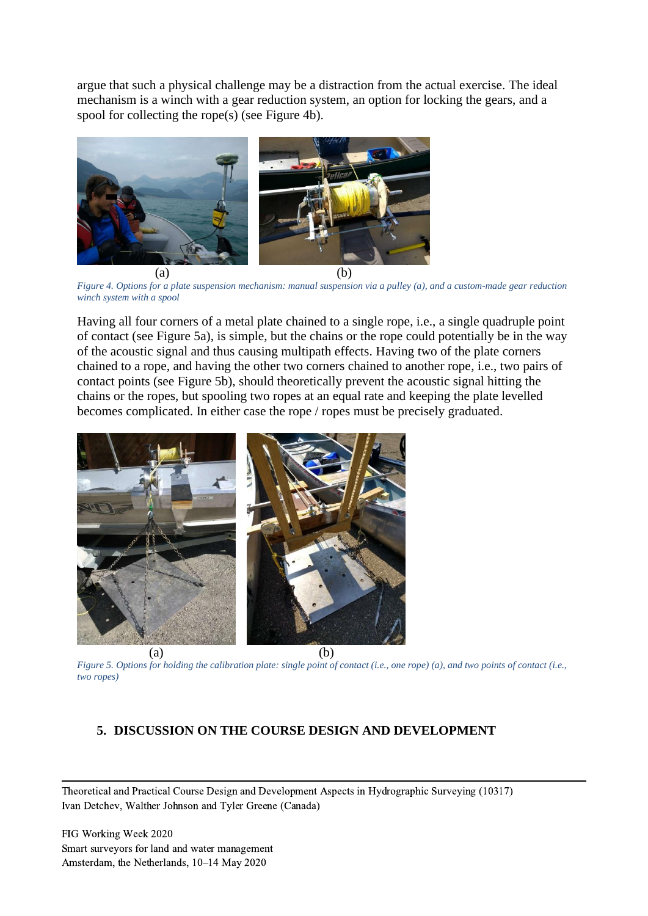argue that such a physical challenge may be a distraction from the actual exercise. The ideal mechanism is a winch with a gear reduction system, an option for locking the gears, and a spool for collecting the rope(s) (see [Figure 4b](#page-10-0)).



*Figure 4. Options for a plate suspension mechanism: manual suspension via a pulley (a), and a custom-made gear reduction winch system with a spool*

<span id="page-10-0"></span>Having all four corners of a metal plate chained to a single rope, i.e., a single quadruple point of contact (see [Figure 5a](#page-10-1)), is simple, but the chains or the rope could potentially be in the way of the acoustic signal and thus causing multipath effects. Having two of the plate corners chained to a rope, and having the other two corners chained to another rope, i.e., two pairs of contact points (see [Figure 5b](#page-10-1)), should theoretically prevent the acoustic signal hitting the chains or the ropes, but spooling two ropes at an equal rate and keeping the plate levelled becomes complicated. In either case the rope / ropes must be precisely graduated.



<span id="page-10-1"></span>*Figure 5. Options for holding the calibration plate: single point of contact (i.e., one rope) (a), and two points of contact (i.e., two ropes)*

#### **5. DISCUSSION ON THE COURSE DESIGN AND DEVELOPMENT**

Theoretical and Practical Course Design and Development Aspects in Hydrographic Surveying (10317) Ivan Detchev, Walther Johnson and Tyler Greene (Canada)

FIG Working Week 2020 Smart surveyors for land and water management Amsterdam, the Netherlands, 10–14 May 2020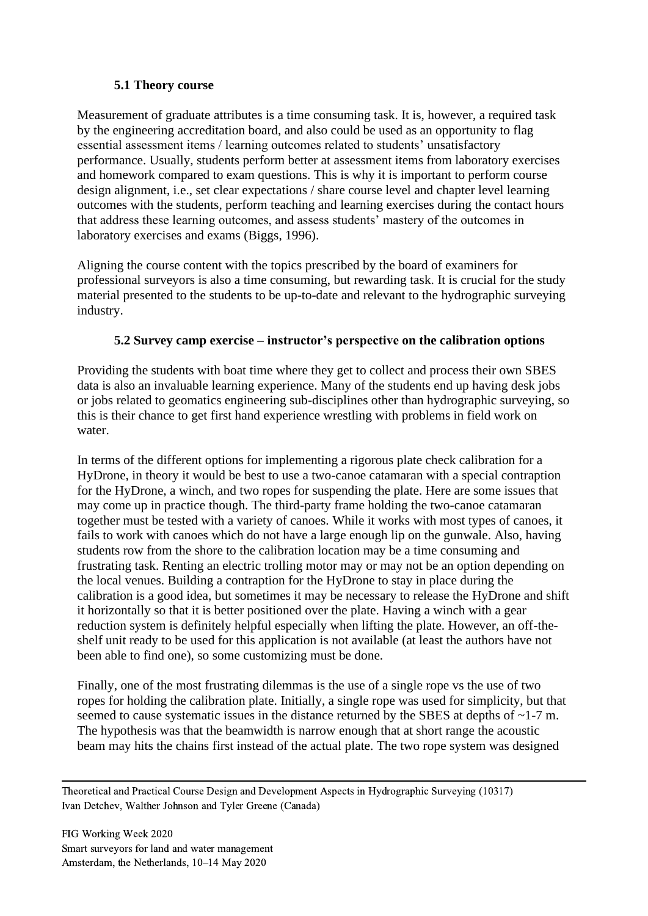# **5.1 Theory course**

Measurement of graduate attributes is a time consuming task. It is, however, a required task by the engineering accreditation board, and also could be used as an opportunity to flag essential assessment items / learning outcomes related to students' unsatisfactory performance. Usually, students perform better at assessment items from laboratory exercises and homework compared to exam questions. This is why it is important to perform course design alignment, i.e., set clear expectations / share course level and chapter level learning outcomes with the students, perform teaching and learning exercises during the contact hours that address these learning outcomes, and assess students' mastery of the outcomes in laboratory exercises and exams (Biggs, 1996).

Aligning the course content with the topics prescribed by the board of examiners for professional surveyors is also a time consuming, but rewarding task. It is crucial for the study material presented to the students to be up-to-date and relevant to the hydrographic surveying industry.

# **5.2 Survey camp exercise – instructor's perspective on the calibration options**

Providing the students with boat time where they get to collect and process their own SBES data is also an invaluable learning experience. Many of the students end up having desk jobs or jobs related to geomatics engineering sub-disciplines other than hydrographic surveying, so this is their chance to get first hand experience wrestling with problems in field work on water.

In terms of the different options for implementing a rigorous plate check calibration for a HyDrone, in theory it would be best to use a two-canoe catamaran with a special contraption for the HyDrone, a winch, and two ropes for suspending the plate. Here are some issues that may come up in practice though. The third-party frame holding the two-canoe catamaran together must be tested with a variety of canoes. While it works with most types of canoes, it fails to work with canoes which do not have a large enough lip on the gunwale. Also, having students row from the shore to the calibration location may be a time consuming and frustrating task. Renting an electric trolling motor may or may not be an option depending on the local venues. Building a contraption for the HyDrone to stay in place during the calibration is a good idea, but sometimes it may be necessary to release the HyDrone and shift it horizontally so that it is better positioned over the plate. Having a winch with a gear reduction system is definitely helpful especially when lifting the plate. However, an off-theshelf unit ready to be used for this application is not available (at least the authors have not been able to find one), so some customizing must be done.

Finally, one of the most frustrating dilemmas is the use of a single rope vs the use of two ropes for holding the calibration plate. Initially, a single rope was used for simplicity, but that seemed to cause systematic issues in the distance returned by the SBES at depths of ~1-7 m. The hypothesis was that the beamwidth is narrow enough that at short range the acoustic beam may hits the chains first instead of the actual plate. The two rope system was designed

Theoretical and Practical Course Design and Development Aspects in Hydrographic Surveying (10317) Ivan Detchev, Walther Johnson and Tyler Greene (Canada)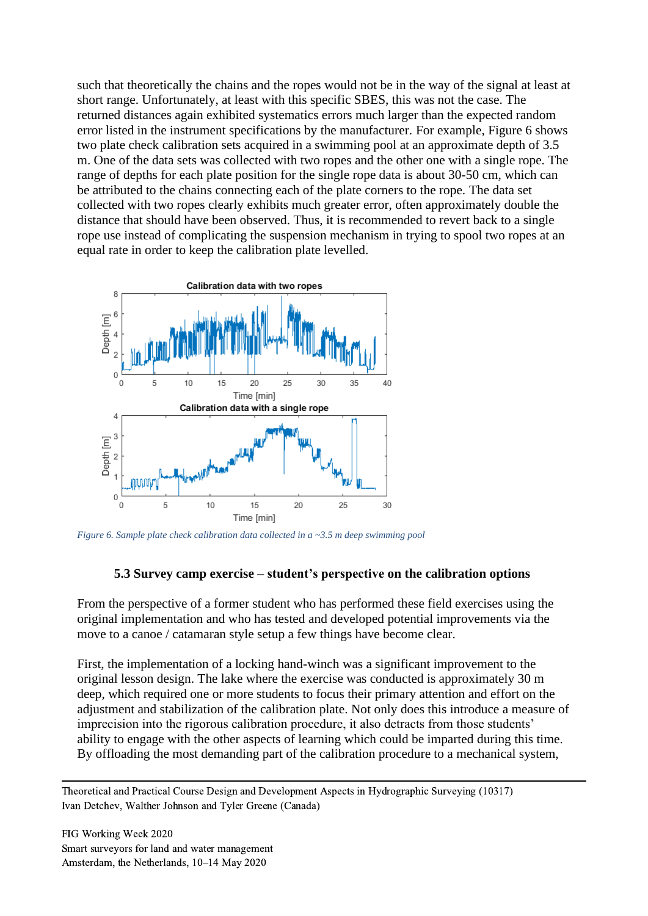such that theoretically the chains and the ropes would not be in the way of the signal at least at short range. Unfortunately, at least with this specific SBES, this was not the case. The returned distances again exhibited systematics errors much larger than the expected random error listed in the instrument specifications by the manufacturer. For example, [Figure 6](#page-12-0) shows two plate check calibration sets acquired in a swimming pool at an approximate depth of 3.5 m. One of the data sets was collected with two ropes and the other one with a single rope. The range of depths for each plate position for the single rope data is about 30-50 cm, which can be attributed to the chains connecting each of the plate corners to the rope. The data set collected with two ropes clearly exhibits much greater error, often approximately double the distance that should have been observed. Thus, it is recommended to revert back to a single rope use instead of complicating the suspension mechanism in trying to spool two ropes at an equal rate in order to keep the calibration plate levelled.



<span id="page-12-0"></span>*Figure 6. Sample plate check calibration data collected in a ~3.5 m deep swimming pool*

#### **5.3 Survey camp exercise – student's perspective on the calibration options**

From the perspective of a former student who has performed these field exercises using the original implementation and who has tested and developed potential improvements via the move to a canoe / catamaran style setup a few things have become clear.

First, the implementation of a locking hand-winch was a significant improvement to the original lesson design. The lake where the exercise was conducted is approximately 30 m deep, which required one or more students to focus their primary attention and effort on the adjustment and stabilization of the calibration plate. Not only does this introduce a measure of imprecision into the rigorous calibration procedure, it also detracts from those students' ability to engage with the other aspects of learning which could be imparted during this time. By offloading the most demanding part of the calibration procedure to a mechanical system,

Theoretical and Practical Course Design and Development Aspects in Hydrographic Surveying (10317) Ivan Detchev, Walther Johnson and Tyler Greene (Canada)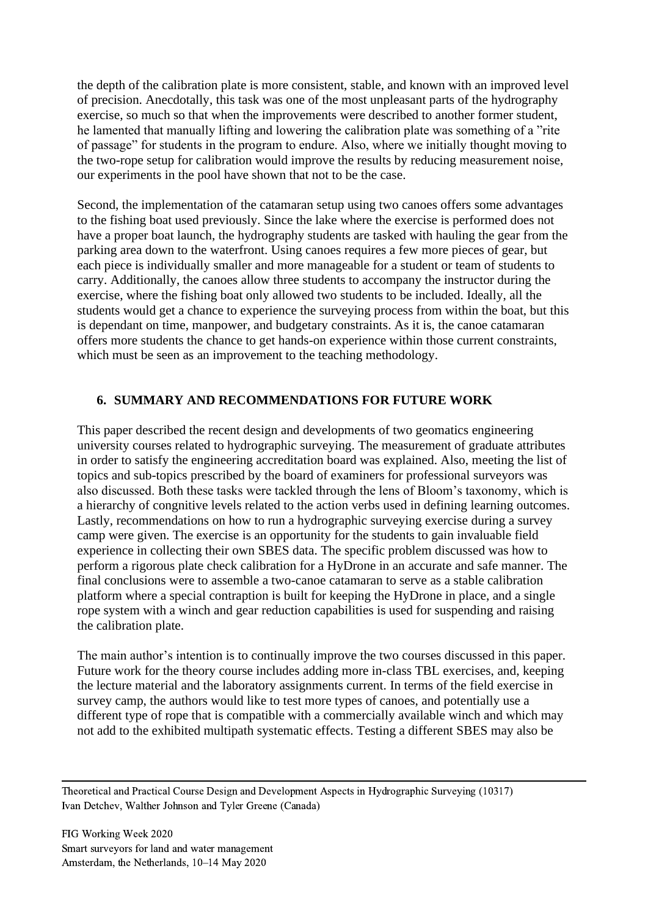the depth of the calibration plate is more consistent, stable, and known with an improved level of precision. Anecdotally, this task was one of the most unpleasant parts of the hydrography exercise, so much so that when the improvements were described to another former student, he lamented that manually lifting and lowering the calibration plate was something of a "rite of passage" for students in the program to endure. Also, where we initially thought moving to the two-rope setup for calibration would improve the results by reducing measurement noise, our experiments in the pool have shown that not to be the case.

Second, the implementation of the catamaran setup using two canoes offers some advantages to the fishing boat used previously. Since the lake where the exercise is performed does not have a proper boat launch, the hydrography students are tasked with hauling the gear from the parking area down to the waterfront. Using canoes requires a few more pieces of gear, but each piece is individually smaller and more manageable for a student or team of students to carry. Additionally, the canoes allow three students to accompany the instructor during the exercise, where the fishing boat only allowed two students to be included. Ideally, all the students would get a chance to experience the surveying process from within the boat, but this is dependant on time, manpower, and budgetary constraints. As it is, the canoe catamaran offers more students the chance to get hands-on experience within those current constraints, which must be seen as an improvement to the teaching methodology.

## **6. SUMMARY AND RECOMMENDATIONS FOR FUTURE WORK**

This paper described the recent design and developments of two geomatics engineering university courses related to hydrographic surveying. The measurement of graduate attributes in order to satisfy the engineering accreditation board was explained. Also, meeting the list of topics and sub-topics prescribed by the board of examiners for professional surveyors was also discussed. Both these tasks were tackled through the lens of Bloom's taxonomy, which is a hierarchy of congnitive levels related to the action verbs used in defining learning outcomes. Lastly, recommendations on how to run a hydrographic surveying exercise during a survey camp were given. The exercise is an opportunity for the students to gain invaluable field experience in collecting their own SBES data. The specific problem discussed was how to perform a rigorous plate check calibration for a HyDrone in an accurate and safe manner. The final conclusions were to assemble a two-canoe catamaran to serve as a stable calibration platform where a special contraption is built for keeping the HyDrone in place, and a single rope system with a winch and gear reduction capabilities is used for suspending and raising the calibration plate.

The main author's intention is to continually improve the two courses discussed in this paper. Future work for the theory course includes adding more in-class TBL exercises, and, keeping the lecture material and the laboratory assignments current. In terms of the field exercise in survey camp, the authors would like to test more types of canoes, and potentially use a different type of rope that is compatible with a commercially available winch and which may not add to the exhibited multipath systematic effects. Testing a different SBES may also be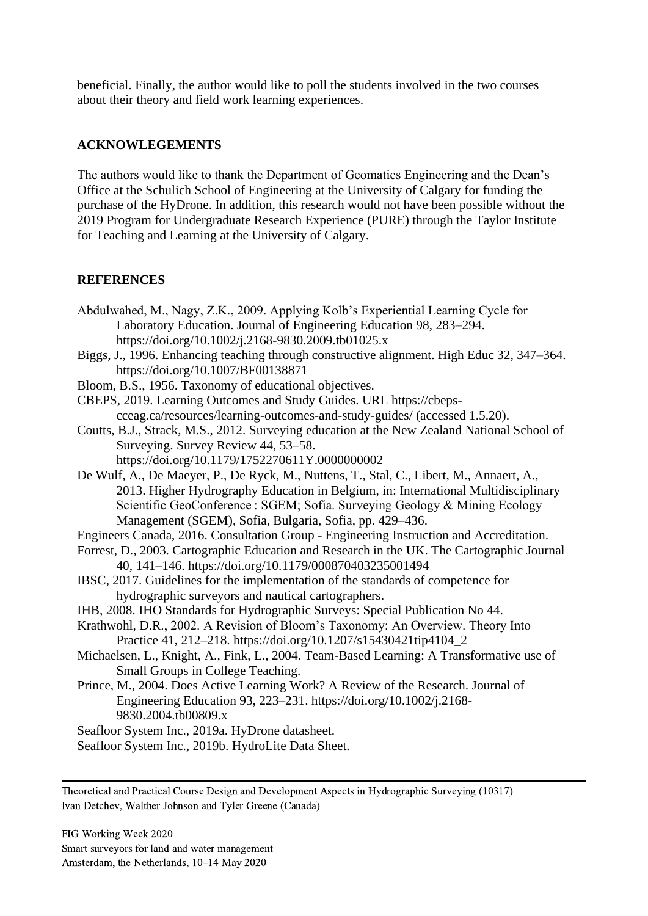beneficial. Finally, the author would like to poll the students involved in the two courses about their theory and field work learning experiences.

## **ACKNOWLEGEMENTS**

The authors would like to thank the Department of Geomatics Engineering and the Dean's Office at the Schulich School of Engineering at the University of Calgary for funding the purchase of the HyDrone. In addition, this research would not have been possible without the 2019 Program for Undergraduate Research Experience (PURE) through the Taylor Institute for Teaching and Learning at the University of Calgary.

# **REFERENCES**

- Abdulwahed, M., Nagy, Z.K., 2009. Applying Kolb's Experiential Learning Cycle for Laboratory Education. Journal of Engineering Education 98, 283–294. https://doi.org/10.1002/j.2168-9830.2009.tb01025.x
- Biggs, J., 1996. Enhancing teaching through constructive alignment. High Educ 32, 347–364. https://doi.org/10.1007/BF00138871
- Bloom, B.S., 1956. Taxonomy of educational objectives.

CBEPS, 2019. Learning Outcomes and Study Guides. URL https://cbepscceag.ca/resources/learning-outcomes-and-study-guides/ (accessed 1.5.20).

- Coutts, B.J., Strack, M.S., 2012. Surveying education at the New Zealand National School of Surveying. Survey Review 44, 53–58.
	- https://doi.org/10.1179/1752270611Y.0000000002
- De Wulf, A., De Maeyer, P., De Ryck, M., Nuttens, T., Stal, C., Libert, M., Annaert, A., 2013. Higher Hydrography Education in Belgium, in: International Multidisciplinary Scientific GeoConference : SGEM; Sofia. Surveying Geology & Mining Ecology Management (SGEM), Sofia, Bulgaria, Sofia, pp. 429–436.
- Engineers Canada, 2016. Consultation Group Engineering Instruction and Accreditation.
- Forrest, D., 2003. Cartographic Education and Research in the UK. The Cartographic Journal 40, 141–146. https://doi.org/10.1179/000870403235001494
- IBSC, 2017. Guidelines for the implementation of the standards of competence for hydrographic surveyors and nautical cartographers.
- IHB, 2008. IHO Standards for Hydrographic Surveys: Special Publication No 44.
- Krathwohl, D.R., 2002. A Revision of Bloom's Taxonomy: An Overview. Theory Into Practice 41, 212–218. https://doi.org/10.1207/s15430421tip4104\_2
- Michaelsen, L., Knight, A., Fink, L., 2004. Team-Based Learning: A Transformative use of Small Groups in College Teaching.
- Prince, M., 2004. Does Active Learning Work? A Review of the Research. Journal of Engineering Education 93, 223–231. https://doi.org/10.1002/j.2168- 9830.2004.tb00809.x
- Seafloor System Inc., 2019a. HyDrone datasheet.
- Seafloor System Inc., 2019b. HydroLite Data Sheet.

Theoretical and Practical Course Design and Development Aspects in Hydrographic Surveying (10317) Ivan Detchev, Walther Johnson and Tyler Greene (Canada)